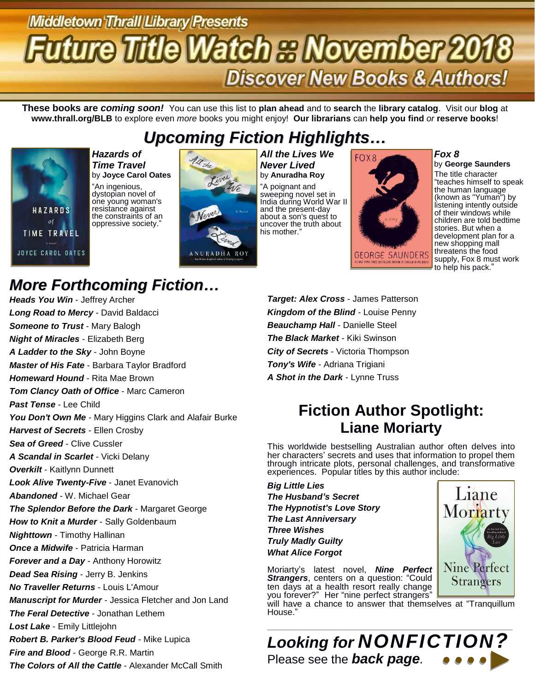# **Middletown Thrall Llibrary Presents rture Title Watch & November 2018 Discover New Books & Authors!**

**These books are** *coming soon!* You can use this list to **plan ahead** and to **search** the **library catalog**. Visit our **blog** at **www.thrall.org/BLB** to explore even *more* books you might enjoy! **Our librarians** can **help you find** *or* **reserve books**!

## *Upcoming Fiction Highlights…*



*Hazards of Time Travel* by **Joyce Carol Oates** "An ingenious, dystopian novel of one young woman's resistance against the constraints of an oppressive society."



*All the Lives We Never Lived* by **Anuradha Roy** "A poignant and sweeping novel set in India during World War II and the present-day about a son's quest to uncover the truth about his mother."



*Fox 8*

by **George Saunders** The title character "teaches himself to speak the human language<sup>1</sup> (known as "Yuman") by listening intently outside of their windows while children are told bedtime stories. But when a development plan for a new shopping mall threatens the food supply, Fox 8 must work to help his pack.'

# *More Forthcoming Fiction…*

*Heads You Win* - Jeffrey Archer *Long Road to Mercy* - David Baldacci *Someone to Trust* - Mary Balogh *Night of Miracles* - Elizabeth Berg *A Ladder to the Sky* - John Boyne *Master of His Fate* - Barbara Taylor Bradford *Homeward Hound* - Rita Mae Brown *Tom Clancy Oath of Office* - Marc Cameron *Past Tense* - Lee Child You Don't Own Me - Mary Higgins Clark and Alafair Burke *Harvest of Secrets* - Ellen Crosby *Sea of Greed* - Clive Cussler *A Scandal in Scarlet* - Vicki Delany *Overkilt* - Kaitlynn Dunnett *Look Alive Twenty-Five* - Janet Evanovich *Abandoned* - W. Michael Gear *The Splendor Before the Dark* - Margaret George *How to Knit a Murder* - Sally Goldenbaum *Nighttown* - Timothy Hallinan *Once a Midwife* - Patricia Harman *Forever and a Day* - Anthony Horowitz *Dead Sea Rising* - Jerry B. Jenkins *No Traveller Returns* - Louis L'Amour *Manuscript for Murder* - Jessica Fletcher and Jon Land *The Feral Detective* - Jonathan Lethem *Lost Lake* - Emily Littlejohn *Robert B. Parker's Blood Feud* - Mike Lupica *Fire and Blood* - George R.R. Martin *The Colors of All the Cattle* - Alexander McCall Smith

*Target: Alex Cross* - James Patterson *Kingdom of the Blind* - Louise Penny *Beauchamp Hall* - Danielle Steel *The Black Market* - Kiki Swinson *City of Secrets* - Victoria Thompson *Tony's Wife* - Adriana Trigiani *A Shot in the Dark* - Lynne Truss

## **Fiction Author Spotlight: Liane Moriarty**

This worldwide bestselling Australian author often delves into her characters' secrets and uses that information to propel them through intricate plots, personal challenges, and transformative experiences. Popular titles by this author include:

*Big Little Lies The Husband's Secret The Hypnotist's Love Story The Last Anniversary Three Wishes Truly Madly Guilty What Alice Forgot*

Moriarty's latest novel, *Nine Perfect*  **Strangers**, centers on a question: "Could ten days at a health resort really change you forever?" Her "nine perfect strangers"

will have a chance to answer that themselves at "Tranquillum House."